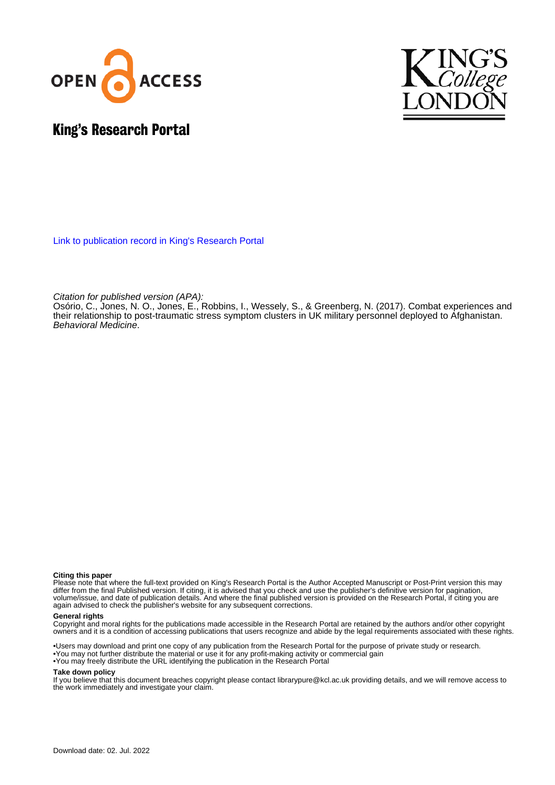



# King's Research Portal

[Link to publication record in King's Research Portal](https://kclpure.kcl.ac.uk/portal/en/publications/combat-experiences-and-their-relationship-to-posttraumatic-stress-symptom-clusters-in-uk-military-personnel-deployed-to-afghanistan(ad747bd1-583b-48a5-a923-34ff7f910138).html)

Citation for published version (APA):

Osório, C[., Jones, N. O.](https://kclpure.kcl.ac.uk/portal/en/persons/norman-jones(b6407e5e-19b5-461d-bbc9-e859546c1bc4).html)[, Jones, E.](/portal/edgar.jones.html)[, Robbins, I.,](https://kclpure.kcl.ac.uk/portal/en/persons/ian-robbins(8aa633fe-4be0-4e22-bb5a-9e301a5bde47).html) Wessely, S., & Greenberg, N. (2017). [Combat experiences and](https://kclpure.kcl.ac.uk/portal/en/publications/combat-experiences-and-their-relationship-to-posttraumatic-stress-symptom-clusters-in-uk-military-personnel-deployed-to-afghanistan(ad747bd1-583b-48a5-a923-34ff7f910138).html) [their relationship to post-traumatic stress symptom clusters in UK military personnel deployed to Afghanistan](https://kclpure.kcl.ac.uk/portal/en/publications/combat-experiences-and-their-relationship-to-posttraumatic-stress-symptom-clusters-in-uk-military-personnel-deployed-to-afghanistan(ad747bd1-583b-48a5-a923-34ff7f910138).html). [Behavioral Medicine](https://kclpure.kcl.ac.uk/portal/en/journals/behavioral-medicine(dcec3b16-3859-41ba-8997-8272578e7107).html).

#### **Citing this paper**

Please note that where the full-text provided on King's Research Portal is the Author Accepted Manuscript or Post-Print version this may differ from the final Published version. If citing, it is advised that you check and use the publisher's definitive version for pagination, volume/issue, and date of publication details. And where the final published version is provided on the Research Portal, if citing you are again advised to check the publisher's website for any subsequent corrections.

#### **General rights**

Copyright and moral rights for the publications made accessible in the Research Portal are retained by the authors and/or other copyright owners and it is a condition of accessing publications that users recognize and abide by the legal requirements associated with these rights.

•Users may download and print one copy of any publication from the Research Portal for the purpose of private study or research. •You may not further distribute the material or use it for any profit-making activity or commercial gain •You may freely distribute the URL identifying the publication in the Research Portal

#### **Take down policy**

If you believe that this document breaches copyright please contact librarypure@kcl.ac.uk providing details, and we will remove access to the work immediately and investigate your claim.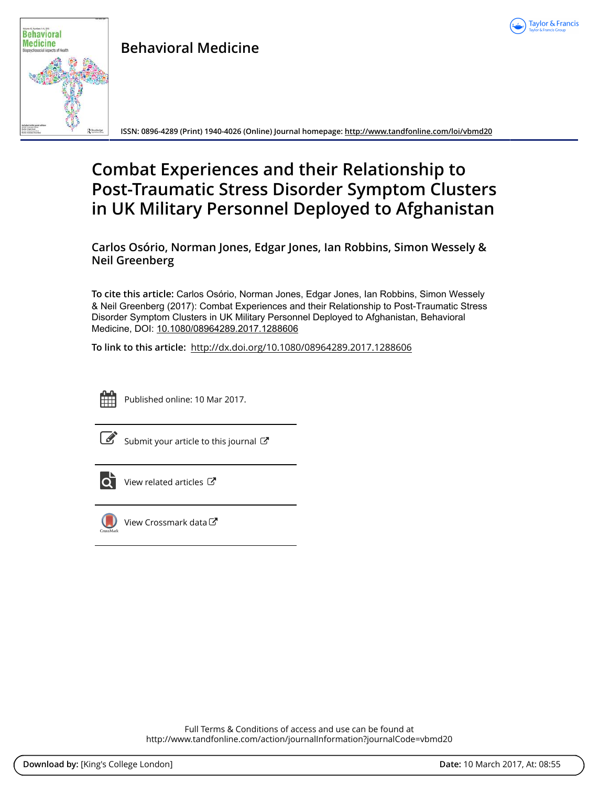



# **Behavioral Medicine**

**ISSN: 0896-4289 (Print) 1940-4026 (Online) Journal homepage:<http://www.tandfonline.com/loi/vbmd20>**

# **Combat Experiences and their Relationship to Post-Traumatic Stress Disorder Symptom Clusters in UK Military Personnel Deployed to Afghanistan**

**Carlos Osório, Norman Jones, Edgar Jones, Ian Robbins, Simon Wessely & Neil Greenberg**

**To cite this article:** Carlos Osório, Norman Jones, Edgar Jones, Ian Robbins, Simon Wessely & Neil Greenberg (2017): Combat Experiences and their Relationship to Post-Traumatic Stress Disorder Symptom Clusters in UK Military Personnel Deployed to Afghanistan, Behavioral Medicine, DOI: [10.1080/08964289.2017.1288606](http://www.tandfonline.com/action/showCitFormats?doi=10.1080/08964289.2017.1288606)

**To link to this article:** <http://dx.doi.org/10.1080/08964289.2017.1288606>



Published online: 10 Mar 2017.

[Submit your article to this journal](http://www.tandfonline.com/action/authorSubmission?journalCode=vbmd20&show=instructions)  $\mathbb{Z}$ 



[View related articles](http://www.tandfonline.com/doi/mlt/10.1080/08964289.2017.1288606) C



[View Crossmark data](http://crossmark.crossref.org/dialog/?doi=10.1080/08964289.2017.1288606&domain=pdf&date_stamp=2017-03-10)  $\mathbb{Z}$ 

Full Terms & Conditions of access and use can be found at <http://www.tandfonline.com/action/journalInformation?journalCode=vbmd20>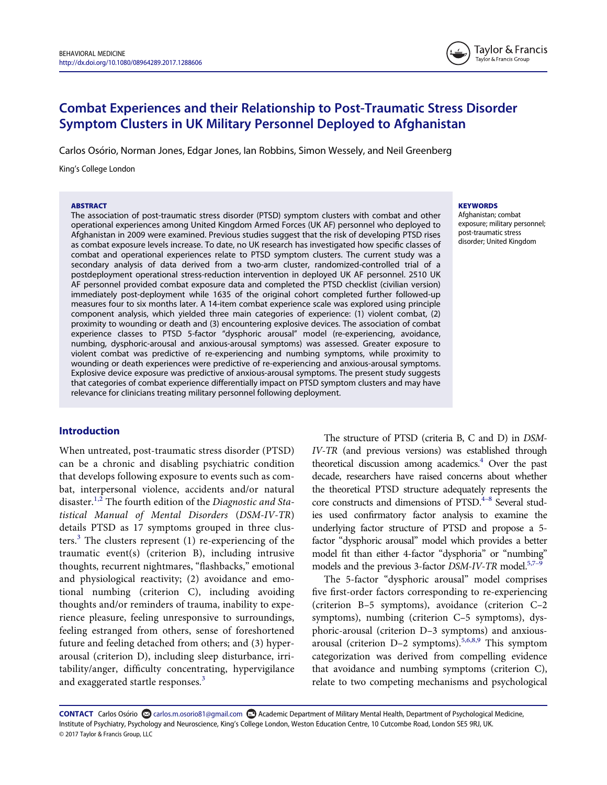# Combat Experiences and their Relationship to Post-Traumatic Stress Disorder Symptom Clusters in UK Military Personnel Deployed to Afghanistan

Carlos Osório, Norman Jones, Edgar Jones, Ian Robbins, Simon Wessely, and Neil Greenberg

King's College London

#### **ARSTRACT**

The association of post-traumatic stress disorder (PTSD) symptom clusters with combat and other operational experiences among United Kingdom Armed Forces (UK AF) personnel who deployed to Afghanistan in 2009 were examined. Previous studies suggest that the risk of developing PTSD rises as combat exposure levels increase. To date, no UK research has investigated how specific classes of combat and operational experiences relate to PTSD symptom clusters. The current study was a secondary analysis of data derived from a two-arm cluster, randomized-controlled trial of a postdeployment operational stress-reduction intervention in deployed UK AF personnel. 2510 UK AF personnel provided combat exposure data and completed the PTSD checklist (civilian version) immediately post-deployment while 1635 of the original cohort completed further followed-up measures four to six months later. A 14-item combat experience scale was explored using principle component analysis, which yielded three main categories of experience: (1) violent combat, (2) proximity to wounding or death and (3) encountering explosive devices. The association of combat experience classes to PTSD 5-factor "dysphoric arousal" model (re-experiencing, avoidance, numbing, dysphoric-arousal and anxious-arousal symptoms) was assessed. Greater exposure to violent combat was predictive of re-experiencing and numbing symptoms, while proximity to wounding or death experiences were predictive of re-experiencing and anxious-arousal symptoms. Explosive device exposure was predictive of anxious-arousal symptoms. The present study suggests that categories of combat experience differentially impact on PTSD symptom clusters and may have relevance for clinicians treating military personnel following deployment.

# Introduction

When untreated, post-traumatic stress disorder (PTSD) can be a chronic and disabling psychiatric condition that develops following exposure to events such as combat, interpersonal violence, accidents and/or natural disaster.<sup>[1,2](#page-10-0)</sup> The fourth edition of the Diagnostic and Statistical Manual of Mental Disorders (DSM-IV-TR) details PTSD as 17 symptoms grouped in three clus-ters.<sup>[3](#page-10-1)</sup> The clusters represent  $(1)$  re-experiencing of the traumatic event(s) (criterion B), including intrusive thoughts, recurrent nightmares, "flashbacks," emotional and physiological reactivity; (2) avoidance and emotional numbing (criterion C), including avoiding thoughts and/or reminders of trauma, inability to experience pleasure, feeling unresponsive to surroundings, feeling estranged from others, sense of foreshortened future and feeling detached from others; and (3) hyperarousal (criterion D), including sleep disturbance, irritability/anger, difficulty concentrating, hypervigilance and exaggerated startle responses.<sup>[3](#page-10-1)</sup>

**KEYWORDS** 

Afghanistan; combat exposure; military personnel; post-traumatic stress disorder; United Kingdom

The structure of PTSD (criteria B, C and D) in DSM-IV-TR (and previous versions) was established through theoretical discussion among academics.<sup>4</sup> Over the past decade, researchers have raised concerns about whether the theoretical PTSD structure adequately represents the core constructs and dimensions of PTSD.<sup>4[–](#page-10-2)8</sup> Several studies used confirmatory factor analysis to examine the underlying factor structure of PTSD and propose a 5 factor "dysphoric arousal" model which provides a better model fit than either 4-factor "dysphoria" or "numbing" models and the previous 3-factor DSM-IV-TR model.<sup>5,7-9</sup>

The 5-factor "dysphoric arousal" model comprises five first-order factors corresponding to re-experiencing (criterion B–5 symptoms), avoidance (criterion C–2 symptoms), numbing (criterion C–5 symptoms), dysphoric-arousal (criterion D–3 symptoms) and anxiousarousal (criterion  $D-2$  symptoms).<sup>[5,6,8,9](#page-10-3)</sup> This symptom categorization was derived from compelling evidence that avoidance and numbing symptoms (criterion C), relate to two competing mechanisms and psychological

CONTACT Carlos Osorio carlos.m.osorio81@gmail.com Academic Department of Military Mental Health, Department of Psychological Medicine, Institute of Psychiatry, Psychology and Neuroscience, King's College London, Weston Education Centre, 10 Cutcombe Road, London SE5 9RJ, UK. © 2017 Taylor & Francis Group, LLC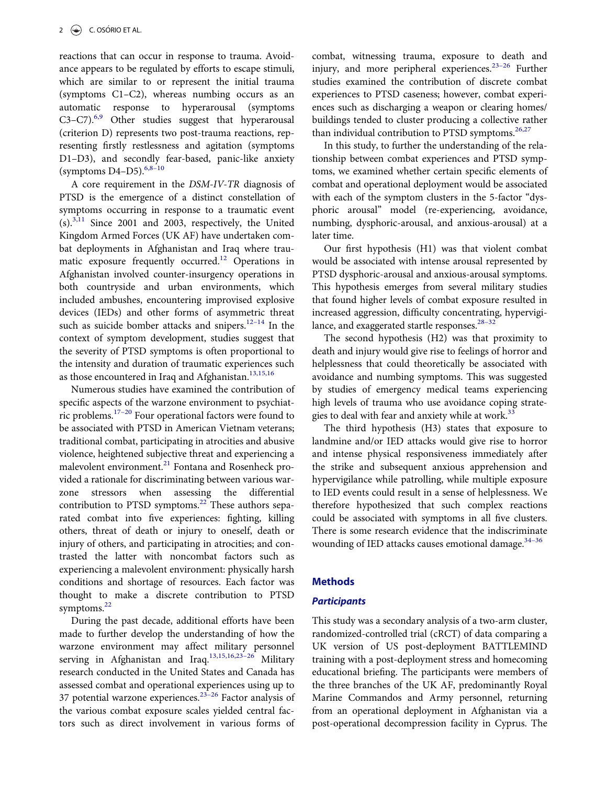reactions that can occur in response to trauma. Avoidance appears to be regulated by efforts to escape stimuli, which are similar to or represent the initial trauma (symptoms C1–C2), whereas numbing occurs as an automatic response to hyperarousal (symptoms C3–C7).<sup>[6,9](#page-10-4)</sup> Other studies suggest that hyperarousal (criterion D) represents two post-trauma reactions, representing firstly restlessness and agitation (symptoms D1–D3), and secondly fear-based, panic-like anxiety (symptoms D4–D5). $6,8-10$  $6,8-10$ 

A core requirement in the DSM-IV-TR diagnosis of PTSD is the emergence of a distinct constellation of symptoms occurring in response to a traumatic event (s).[3,11](#page-10-1) Since 2001 and 2003, respectively, the United Kingdom Armed Forces (UK AF) have undertaken combat deployments in Afghanistan and Iraq where trau-matic exposure frequently occurred.<sup>[12](#page-10-5)</sup> Operations in Afghanistan involved counter-insurgency operations in both countryside and urban environments, which included ambushes, encountering improvised explosive devices (IEDs) and other forms of asymmetric threat such as suicide bomber attacks and snipers. $12-14$  In the context of symptom development, studies suggest that the severity of PTSD symptoms is often proportional to the intensity and duration of traumatic experiences such as those encountered in Iraq and Afghanistan.<sup>[13,15,16](#page-10-6)</sup>

Numerous studies have examined the contribution of specific aspects of the warzone environment to psychiatric problems.17–[20](#page-10-7) Four operational factors were found to be associated with PTSD in American Vietnam veterans; traditional combat, participating in atrocities and abusive violence, heightened subjective threat and experiencing a malevolent environment.<sup>[21](#page-10-8)</sup> Fontana and Rosenheck provided a rationale for discriminating between various warzone stressors when assessing the differential contribution to PTSD symptoms.<sup>[22](#page-10-9)</sup> These authors separated combat into five experiences: fighting, killing others, threat of death or injury to oneself, death or injury of others, and participating in atrocities; and contrasted the latter with noncombat factors such as experiencing a malevolent environment: physically harsh conditions and shortage of resources. Each factor was thought to make a discrete contribution to PTSD symptoms.<sup>[22](#page-10-9)</sup>

During the past decade, additional efforts have been made to further develop the understanding of how the warzone environment may affect military personnel serving in Afghanistan and Iraq.<sup>[13,15,16,23](#page-10-6)-26</sup> Military research conducted in the United States and Canada has assessed combat and operational experiences using up to 37 potential warzone experiences. $23-26$  $23-26$  Factor analysis of the various combat exposure scales yielded central factors such as direct involvement in various forms of combat, witnessing trauma, exposure to death and injury, and more peripheral experiences.<sup>[23](#page-10-10)-26</sup> Further studies examined the contribution of discrete combat experiences to PTSD caseness; however, combat experiences such as discharging a weapon or clearing homes/ buildings tended to cluster producing a collective rather than individual contribution to PTSD symptoms.<sup>[26,27](#page-10-11)</sup>

In this study, to further the understanding of the relationship between combat experiences and PTSD symptoms, we examined whether certain specific elements of combat and operational deployment would be associated with each of the symptom clusters in the 5-factor "dysphoric arousal" model (re-experiencing, avoidance, numbing, dysphoric-arousal, and anxious-arousal) at a later time.

Our first hypothesis (H1) was that violent combat would be associated with intense arousal represented by PTSD dysphoric-arousal and anxious-arousal symptoms. This hypothesis emerges from several military studies that found higher levels of combat exposure resulted in increased aggression, difficulty concentrating, hypervigi-lance, and exaggerated startle responses.<sup>[28](#page-11-0)-32</sup>

The second hypothesis (H2) was that proximity to death and injury would give rise to feelings of horror and helplessness that could theoretically be associated with avoidance and numbing symptoms. This was suggested by studies of emergency medical teams experiencing high levels of trauma who use avoidance coping strategies to deal with fear and anxiety while at work.<sup>33</sup>

The third hypothesis (H3) states that exposure to landmine and/or IED attacks would give rise to horror and intense physical responsiveness immediately after the strike and subsequent anxious apprehension and hypervigilance while patrolling, while multiple exposure to IED events could result in a sense of helplessness. We therefore hypothesized that such complex reactions could be associated with symptoms in all five clusters. There is some research evidence that the indiscriminate wounding of IED attacks causes emotional damage.<sup>[34](#page-11-2)-36</sup>

# Methods

# **Participants**

This study was a secondary analysis of a two-arm cluster, randomized-controlled trial (cRCT) of data comparing a UK version of US post-deployment BATTLEMIND training with a post-deployment stress and homecoming educational briefing. The participants were members of the three branches of the UK AF, predominantly Royal Marine Commandos and Army personnel, returning from an operational deployment in Afghanistan via a post-operational decompression facility in Cyprus. The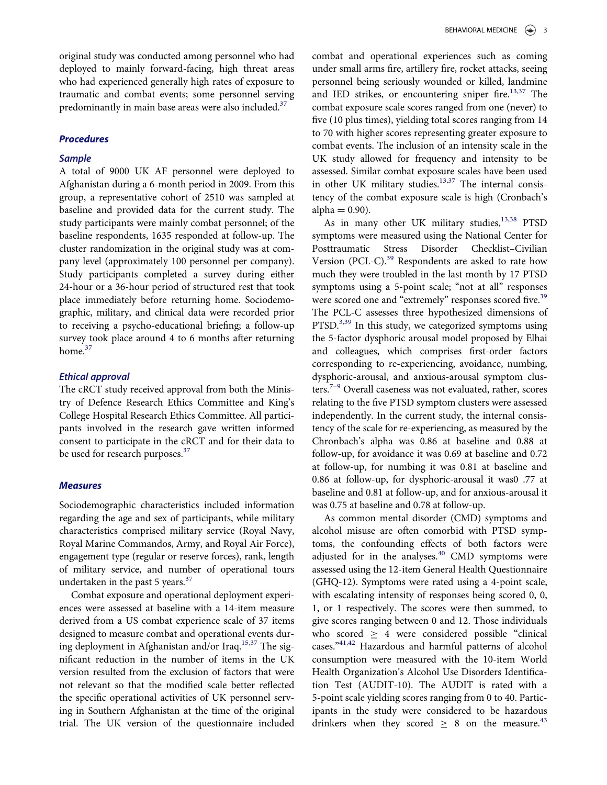original study was conducted among personnel who had deployed to mainly forward-facing, high threat areas who had experienced generally high rates of exposure to traumatic and combat events; some personnel serving predominantly in main base areas were also included.<sup>[37](#page-11-3)</sup>

#### Procedures

#### **Sample**

A total of 9000 UK AF personnel were deployed to Afghanistan during a 6-month period in 2009. From this group, a representative cohort of 2510 was sampled at baseline and provided data for the current study. The study participants were mainly combat personnel; of the baseline respondents, 1635 responded at follow-up. The cluster randomization in the original study was at company level (approximately 100 personnel per company). Study participants completed a survey during either 24-hour or a 36-hour period of structured rest that took place immediately before returning home. Sociodemographic, military, and clinical data were recorded prior to receiving a psycho-educational briefing; a follow-up survey took place around 4 to 6 months after returning home. $37$ 

#### Ethical approval

The cRCT study received approval from both the Ministry of Defence Research Ethics Committee and King's College Hospital Research Ethics Committee. All participants involved in the research gave written informed consent to participate in the cRCT and for their data to be used for research purposes.<sup>[37](#page-11-3)</sup>

#### Measures

Sociodemographic characteristics included information regarding the age and sex of participants, while military characteristics comprised military service (Royal Navy, Royal Marine Commandos, Army, and Royal Air Force), engagement type (regular or reserve forces), rank, length of military service, and number of operational tours undertaken in the past 5 years. $37$ 

Combat exposure and operational deployment experiences were assessed at baseline with a 14-item measure derived from a US combat experience scale of 37 items designed to measure combat and operational events dur-ing deployment in Afghanistan and/or Iraq.<sup>[15,37](#page-10-12)</sup> The significant reduction in the number of items in the UK version resulted from the exclusion of factors that were not relevant so that the modified scale better reflected the specific operational activities of UK personnel serving in Southern Afghanistan at the time of the original trial. The UK version of the questionnaire included

combat and operational experiences such as coming under small arms fire, artillery fire, rocket attacks, seeing personnel being seriously wounded or killed, landmine and IED strikes, or encountering sniper fire. $13,37$  The combat exposure scale scores ranged from one (never) to five (10 plus times), yielding total scores ranging from 14 to 70 with higher scores representing greater exposure to combat events. The inclusion of an intensity scale in the UK study allowed for frequency and intensity to be assessed. Similar combat exposure scales have been used in other UK military studies. $13,37$  The internal consistency of the combat exposure scale is high (Cronbach's alpha  $= 0.90$ ).

As in many other UK military studies,<sup>[13,38](#page-10-6)</sup> PTSD symptoms were measured using the National Center for Posttraumatic Stress Disorder Checklist–Civilian Version (PCL-C).<sup>[39](#page-11-4)</sup> Respondents are asked to rate how much they were troubled in the last month by 17 PTSD symptoms using a 5-point scale; "not at all" responses were scored one and "extremely" responses scored five.<sup>[39](#page-11-4)</sup> The PCL-C assesses three hypothesized dimensions of PTSD. $3,39$  In this study, we categorized symptoms using the 5-factor dysphoric arousal model proposed by Elhai and colleagues, which comprises first-order factors corresponding to re-experiencing, avoidance, numbing, dysphoric-arousal, and anxious-arousal symptom clusters.7[–](#page-10-13)<sup>9</sup> Overall caseness was not evaluated, rather, scores relating to the five PTSD symptom clusters were assessed independently. In the current study, the internal consistency of the scale for re-experiencing, as measured by the Chronbach's alpha was 0.86 at baseline and 0.88 at follow-up, for avoidance it was 0.69 at baseline and 0.72 at follow-up, for numbing it was 0.81 at baseline and 0.86 at follow-up, for dysphoric-arousal it was0 .77 at baseline and 0.81 at follow-up, and for anxious-arousal it was 0.75 at baseline and 0.78 at follow-up.

As common mental disorder (CMD) symptoms and alcohol misuse are often comorbid with PTSD symptoms, the confounding effects of both factors were adjusted for in the analyses.<sup>[40](#page-11-5)</sup> CMD symptoms were assessed using the 12-item General Health Questionnaire (GHQ-12). Symptoms were rated using a 4-point scale, with escalating intensity of responses being scored 0, 0, 1, or 1 respectively. The scores were then summed, to give scores ranging between 0 and 12. Those individuals who scored  $\geq$  4 were considered possible "clinical cases." [41,42](#page-11-6) Hazardous and harmful patterns of alcohol consumption were measured with the 10-item World Health Organization's Alcohol Use Disorders Identification Test (AUDIT-10). The AUDIT is rated with a 5-point scale yielding scores ranging from 0 to 40. Participants in the study were considered to be hazardous drinkers when they scored  $\geq 8$  on the measure.<sup>[43](#page-11-7)</sup>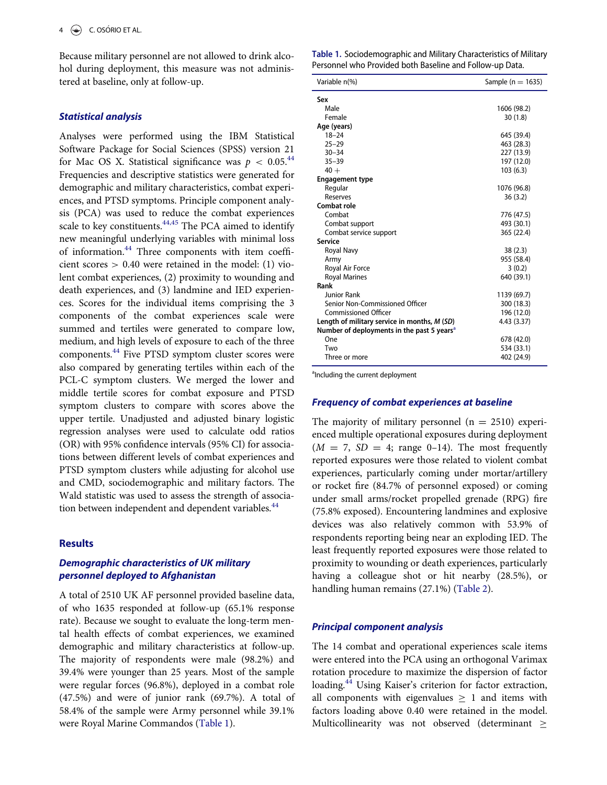<span id="page-5-0"></span>Because military personnel are not allowed to drink alcohol during deployment, this measure was not administered at baseline, only at follow-up.

#### Statistical analysis

Analyses were performed using the IBM Statistical Software Package for Social Sciences (SPSS) version 21 for Mac OS X. Statistical significance was  $p < 0.05^{44}$  $p < 0.05^{44}$  $p < 0.05^{44}$ Frequencies and descriptive statistics were generated for demographic and military characteristics, combat experiences, and PTSD symptoms. Principle component analysis (PCA) was used to reduce the combat experiences scale to key constituents.<sup>[44,45](#page-11-8)</sup> The PCA aimed to identify new meaningful underlying variables with minimal loss of information.<sup>[44](#page-11-8)</sup> Three components with item coefficient scores  $> 0.40$  were retained in the model: (1) violent combat experiences, (2) proximity to wounding and death experiences, and (3) landmine and IED experiences. Scores for the individual items comprising the 3 components of the combat experiences scale were summed and tertiles were generated to compare low, medium, and high levels of exposure to each of the three components.[44](#page-11-8) Five PTSD symptom cluster scores were also compared by generating tertiles within each of the PCL-C symptom clusters. We merged the lower and middle tertile scores for combat exposure and PTSD symptom clusters to compare with scores above the upper tertile. Unadjusted and adjusted binary logistic regression analyses were used to calculate odd ratios (OR) with 95% confidence intervals (95% CI) for associations between different levels of combat experiences and PTSD symptom clusters while adjusting for alcohol use and CMD, sociodemographic and military factors. The Wald statistic was used to assess the strength of associa-tion between independent and dependent variables.<sup>[44](#page-11-8)</sup>

# <span id="page-5-1"></span>**Results**

# Demographic characteristics of UK military personnel deployed to Afghanistan

A total of 2510 UK AF personnel provided baseline data, of who 1635 responded at follow-up (65.1% response rate). Because we sought to evaluate the long-term mental health effects of combat experiences, we examined demographic and military characteristics at follow-up. The majority of respondents were male (98.2%) and 39.4% were younger than 25 years. Most of the sample were regular forces (96.8%), deployed in a combat role (47.5%) and were of junior rank (69.7%). A total of 58.4% of the sample were Army personnel while 39.1% were Royal Marine Commandos ([Table 1](#page-5-0)).

| Table 1. Sociodemographic and Military Characteristics of Military |
|--------------------------------------------------------------------|
| Personnel who Provided both Baseline and Follow-up Data.           |

| Variable n(%)                                          | Sample ( $n = 1635$ ) |
|--------------------------------------------------------|-----------------------|
| Sex                                                    |                       |
| Male                                                   | 1606 (98.2)           |
| Female                                                 | 30(1.8)               |
| Age (years)                                            |                       |
| $18 - 24$                                              | 645 (39.4)            |
| $25 - 29$                                              | 463 (28.3)            |
| $30 - 34$                                              | 227 (13.9)            |
| $35 - 39$                                              | 197 (12.0)            |
| $40 +$                                                 | 103(6.3)              |
| <b>Engagement type</b>                                 |                       |
| Regular                                                | 1076 (96.8)           |
| Reserves                                               | 36(3.2)               |
| Combat role                                            |                       |
| Combat                                                 | 776 (47.5)            |
| Combat support                                         | 493 (30.1)            |
| Combat service support                                 | 365 (22.4)            |
| Service                                                |                       |
| Royal Navy                                             | 38(2.3)               |
| Army                                                   | 955 (58.4)            |
| Royal Air Force                                        | 3(0.2)                |
| <b>Royal Marines</b>                                   | 640 (39.1)            |
| Rank                                                   |                       |
| Junior Rank                                            | 1139 (69.7)           |
| Senior Non-Commissioned Officer                        | 300 (18.3)            |
| <b>Commissioned Officer</b>                            | 196 (12.0)            |
| Length of military service in months, M (SD)           | 4.43 (3.37)           |
| Number of deployments in the past 5 years <sup>a</sup> |                       |
| One                                                    | 678 (42.0)            |
| Two                                                    | 534 (33.1)            |
| Three or more                                          | 402 (24.9)            |

<sup>a</sup>Including the current deployment

#### Frequency of combat experiences at baseline

The majority of military personnel ( $n = 2510$ ) experienced multiple operational exposures during deployment  $(M = 7, SD = 4; range 0-14)$ . The most frequently reported exposures were those related to violent combat experiences, particularly coming under mortar/artillery or rocket fire (84.7% of personnel exposed) or coming under small arms/rocket propelled grenade (RPG) fire (75.8% exposed). Encountering landmines and explosive devices was also relatively common with 53.9% of respondents reporting being near an exploding IED. The least frequently reported exposures were those related to proximity to wounding or death experiences, particularly having a colleague shot or hit nearby (28.5%), or handling human remains (27.1%) [\(Table 2\)](#page-6-0).

## Principal component analysis

The 14 combat and operational experiences scale items were entered into the PCA using an orthogonal Varimax rotation procedure to maximize the dispersion of factor loading.<sup>[44](#page-11-8)</sup> Using Kaiser's criterion for factor extraction, all components with eigenvalues  $\geq 1$  and items with factors loading above 0.40 were retained in the model. Multicollinearity was not observed (determinant  $\geq$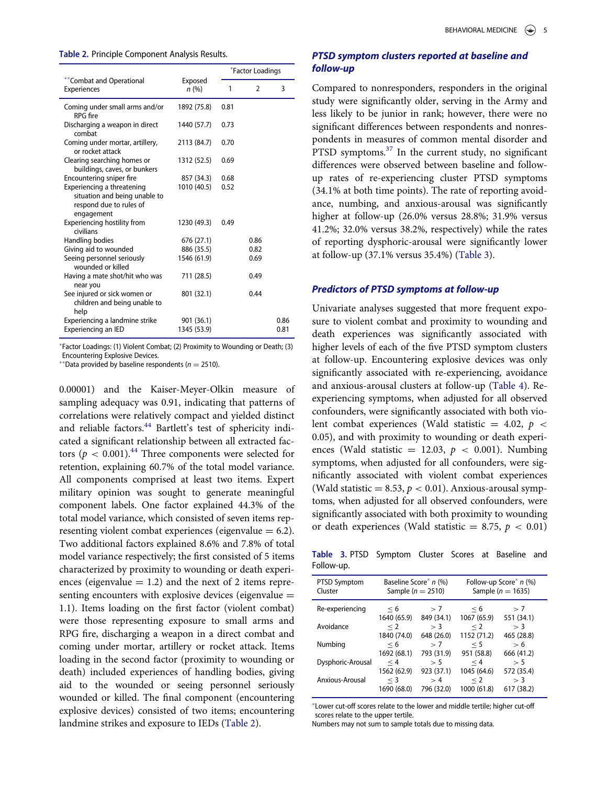#### <span id="page-6-0"></span>Table 2. Principle Component Analysis Results.

|                                                                                                      |                 |      | *Factor Loadings |      |
|------------------------------------------------------------------------------------------------------|-----------------|------|------------------|------|
| ** Combat and Operational<br>Experiences                                                             | Exposed<br>n(%) | 1    | $\mathcal{P}$    | 3    |
| Coming under small arms and/or<br>RPG fire                                                           | 1892 (75.8)     | 0.81 |                  |      |
| Discharging a weapon in direct<br>combat                                                             | 1440 (57.7)     | 0.73 |                  |      |
| Coming under mortar, artillery,<br>or rocket attack                                                  | 2113 (84.7)     | 0.70 |                  |      |
| Clearing searching homes or<br>buildings, caves, or bunkers                                          | 1312 (52.5)     | 0.69 |                  |      |
| Encountering sniper fire                                                                             | 857 (34.3)      | 0.68 |                  |      |
| Experiencing a threatening<br>situation and being unable to<br>respond due to rules of<br>engagement | 1010 (40.5)     | 0.52 |                  |      |
| Experiencing hostility from<br>civilians                                                             | 1230 (49.3)     | 0.49 |                  |      |
| Handling bodies                                                                                      | 676 (27.1)      |      | 0.86             |      |
| Giving aid to wounded                                                                                | 886 (35.5)      |      | 0.82             |      |
| Seeing personnel seriously<br>wounded or killed                                                      | 1546 (61.9)     |      | 0.69             |      |
| Having a mate shot/hit who was<br>near you                                                           | 711 (28.5)      |      | 0.49             |      |
| See injured or sick women or<br>children and being unable to<br>help                                 | 801 (32.1)      |      | 0.44             |      |
| Experiencing a landmine strike                                                                       | 901 (36.1)      |      |                  | 0.86 |
| Experiencing an IED                                                                                  | 1345 (53.9)     |      |                  | 0.81 |

 Factor Loadings: (1) Violent Combat; (2) Proximity to Wounding or Death; (3) Encountering Explosive Devices.

\*\*Data provided by baseline respondents ( $n = 2510$ ).

0.00001) and the Kaiser-Meyer-Olkin measure of sampling adequacy was 0.91, indicating that patterns of correlations were relatively compact and yielded distinct and reliable factors.<sup>[44](#page-11-8)</sup> Bartlett's test of sphericity indicated a significant relationship between all extracted factors ( $p < 0.001$ ).<sup>[44](#page-11-8)</sup> Three components were selected for retention, explaining 60.7% of the total model variance. All components comprised at least two items. Expert military opinion was sought to generate meaningful component labels. One factor explained 44.3% of the total model variance, which consisted of seven items representing violent combat experiences (eigenvalue  $= 6.2$ ). Two additional factors explained 8.6% and 7.8% of total model variance respectively; the first consisted of 5 items characterized by proximity to wounding or death experiences (eigenvalue  $= 1.2$ ) and the next of 2 items representing encounters with explosive devices (eigenvalue  $=$ 1.1). Items loading on the first factor (violent combat) were those representing exposure to small arms and RPG fire, discharging a weapon in a direct combat and coming under mortar, artillery or rocket attack. Items loading in the second factor (proximity to wounding or death) included experiences of handling bodies, giving aid to the wounded or seeing personnel seriously wounded or killed. The final component (encountering explosive devices) consisted of two items; encountering landmine strikes and exposure to IEDs ([Table 2\)](#page-6-0).

# PTSD symptom clusters reported at baseline and follow-up

Compared to nonresponders, responders in the original study were significantly older, serving in the Army and less likely to be junior in rank; however, there were no significant differences between respondents and nonrespondents in measures of common mental disorder and PTSD symptoms.<sup>37</sup> In the current study, no significant differences were observed between baseline and followup rates of re-experiencing cluster PTSD symptoms (34.1% at both time points). The rate of reporting avoidance, numbing, and anxious-arousal was significantly higher at follow-up (26.0% versus 28.8%; 31.9% versus 41.2%; 32.0% versus 38.2%, respectively) while the rates of reporting dysphoric-arousal were significantly lower at follow-up (37.1% versus 35.4%) ([Table 3](#page-6-1)).

#### Predictors of PTSD symptoms at follow-up

Univariate analyses suggested that more frequent exposure to violent combat and proximity to wounding and death experiences was significantly associated with higher levels of each of the five PTSD symptom clusters at follow-up. Encountering explosive devices was only significantly associated with re-experiencing, avoidance and anxious-arousal clusters at follow-up ([Table 4](#page-8-0)). Reexperiencing symptoms, when adjusted for all observed confounders, were significantly associated with both violent combat experiences (Wald statistic  $=$  4.02,  $p$  < 0.05), and with proximity to wounding or death experiences (Wald statistic = 12.03,  $p < 0.001$ ). Numbing symptoms, when adjusted for all confounders, were significantly associated with violent combat experiences (Wald statistic  $= 8.53$ ,  $p < 0.01$ ). Anxious-arousal symptoms, when adjusted for all observed confounders, were significantly associated with both proximity to wounding or death experiences (Wald statistic = 8.75,  $p < 0.01$ )

Table 3. PTSD Symptom Cluster Scores at Baseline and Follow-up.

| PTSD Symptom          | Baseline Score <sup>*</sup> n (%)                             |            |                     | Follow-up Score <sup>*</sup> n (%) |
|-----------------------|---------------------------------------------------------------|------------|---------------------|------------------------------------|
| Cluster               | Sample ( $n = 2510$ )                                         |            |                     | Sample ( $n = 1635$ )              |
| Re-experiencing       | < 6                                                           | > 7        | < 6                 | > 7                                |
|                       | 1640 (65.9)                                                   | 849 (34.1) | 1067 (65.9)         | 551 (34.1)                         |
| Avoidance<br>$\leq$ 2 | $>$ 3<br>$\leq$ 2<br>1152 (71.2)<br>1840 (74.0)<br>648 (26.0) |            | $>$ 3<br>465 (28.8) |                                    |
| Numbing               | < 6                                                           | > 7        | < 5                 | > 6                                |
|                       | 1692 (68.1)                                                   | 793 (31.9) | 951 (58.8)          | 666 (41.2)                         |
| Dysphoric-Arousal     | $\leq 4$                                                      | > 5        | $\leq 4$            | > 5                                |
|                       | 1562 (62.9)                                                   | 923 (37.1) | 1045 (64.6)         | 572 (35.4)                         |
| Anxious-Arousal       | $\leq$ 3                                                      | >4         | $\leq$ 2            | $>$ 3                              |
|                       | 1690 (68.0)                                                   | 796 (32.0) | 1000 (61.8)         | 617 (38.2)                         |

 Lower cut-off scores relate to the lower and middle tertile; higher cut-off scores relate to the upper tertile.

<span id="page-6-1"></span>Numbers may not sum to sample totals due to missing data.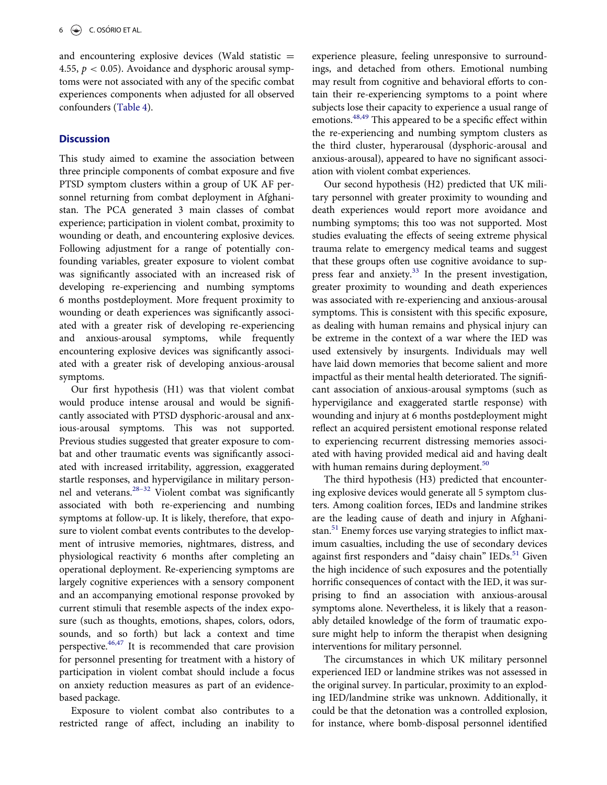and encountering explosive devices (Wald statistic  $=$ 4.55,  $p < 0.05$ ). Avoidance and dysphoric arousal symptoms were not associated with any of the specific combat experiences components when adjusted for all observed confounders ([Table 4\)](#page-8-0).

# **Discussion**

This study aimed to examine the association between three principle components of combat exposure and five PTSD symptom clusters within a group of UK AF personnel returning from combat deployment in Afghanistan. The PCA generated 3 main classes of combat experience; participation in violent combat, proximity to wounding or death, and encountering explosive devices. Following adjustment for a range of potentially confounding variables, greater exposure to violent combat was significantly associated with an increased risk of developing re-experiencing and numbing symptoms 6 months postdeployment. More frequent proximity to wounding or death experiences was significantly associated with a greater risk of developing re-experiencing and anxious-arousal symptoms, while frequently encountering explosive devices was significantly associated with a greater risk of developing anxious-arousal symptoms.

Our first hypothesis (H1) was that violent combat would produce intense arousal and would be significantly associated with PTSD dysphoric-arousal and anxious-arousal symptoms. This was not supported. Previous studies suggested that greater exposure to combat and other traumatic events was significantly associated with increased irritability, aggression, exaggerated startle responses, and hypervigilance in military person-nel and veterans.<sup>[28](#page-11-0)–32</sup> Violent combat was significantly associated with both re-experiencing and numbing symptoms at follow-up. It is likely, therefore, that exposure to violent combat events contributes to the development of intrusive memories, nightmares, distress, and physiological reactivity 6 months after completing an operational deployment. Re-experiencing symptoms are largely cognitive experiences with a sensory component and an accompanying emotional response provoked by current stimuli that resemble aspects of the index exposure (such as thoughts, emotions, shapes, colors, odors, sounds, and so forth) but lack a context and time perspective.[46,47](#page-11-9) It is recommended that care provision for personnel presenting for treatment with a history of participation in violent combat should include a focus on anxiety reduction measures as part of an evidencebased package.

Exposure to violent combat also contributes to a restricted range of affect, including an inability to experience pleasure, feeling unresponsive to surroundings, and detached from others. Emotional numbing may result from cognitive and behavioral efforts to contain their re-experiencing symptoms to a point where subjects lose their capacity to experience a usual range of emotions.<sup>[48,49](#page-11-10)</sup> This appeared to be a specific effect within the re-experiencing and numbing symptom clusters as the third cluster, hyperarousal (dysphoric-arousal and anxious-arousal), appeared to have no significant association with violent combat experiences.

Our second hypothesis (H2) predicted that UK military personnel with greater proximity to wounding and death experiences would report more avoidance and numbing symptoms; this too was not supported. Most studies evaluating the effects of seeing extreme physical trauma relate to emergency medical teams and suggest that these groups often use cognitive avoidance to suppress fear and anxiety. $33$  In the present investigation, greater proximity to wounding and death experiences was associated with re-experiencing and anxious-arousal symptoms. This is consistent with this specific exposure, as dealing with human remains and physical injury can be extreme in the context of a war where the IED was used extensively by insurgents. Individuals may well have laid down memories that become salient and more impactful as their mental health deteriorated. The significant association of anxious-arousal symptoms (such as hypervigilance and exaggerated startle response) with wounding and injury at 6 months postdeployment might reflect an acquired persistent emotional response related to experiencing recurrent distressing memories associated with having provided medical aid and having dealt with human remains during deployment.<sup>[50](#page-11-11)</sup>

The third hypothesis (H3) predicted that encountering explosive devices would generate all 5 symptom clusters. Among coalition forces, IEDs and landmine strikes are the leading cause of death and injury in Afghani-stan.<sup>[51](#page-11-12)</sup> Enemy forces use varying strategies to inflict maximum casualties, including the use of secondary devices against first responders and "daisy chain" IEDs.<sup>[51](#page-11-12)</sup> Given the high incidence of such exposures and the potentially horrific consequences of contact with the IED, it was surprising to find an association with anxious-arousal symptoms alone. Nevertheless, it is likely that a reasonably detailed knowledge of the form of traumatic exposure might help to inform the therapist when designing interventions for military personnel.

The circumstances in which UK military personnel experienced IED or landmine strikes was not assessed in the original survey. In particular, proximity to an exploding IED/landmine strike was unknown. Additionally, it could be that the detonation was a controlled explosion, for instance, where bomb-disposal personnel identified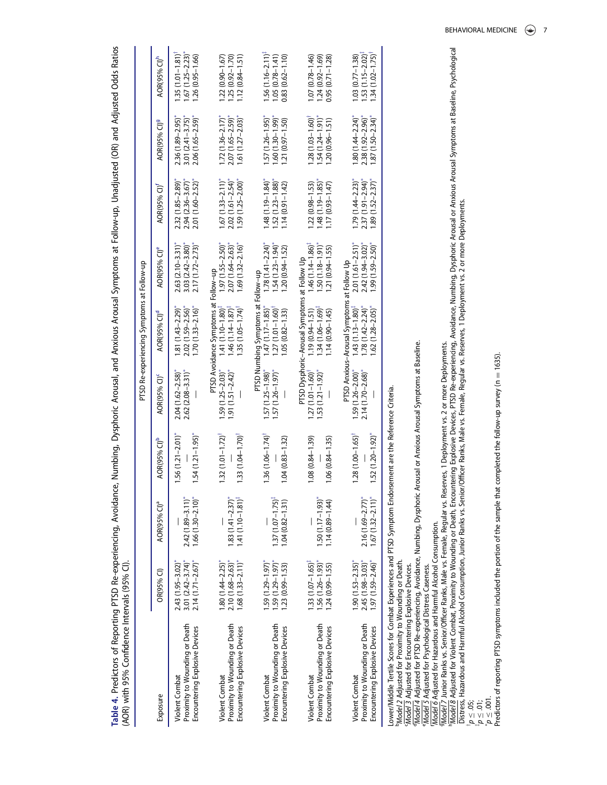<span id="page-8-1"></span>Table 4. Predictors of Reporting PTSD Re-experiencing, Avoidance, Numbing, Dysphoric Arousal, and Anxious Arousal Symptoms at Follow-up, Unadjusted (OR) and Adjusted Odds Ratios Table 4. Predictors of Reporting PTSD Re-experiencing, Avoidance, Numbing, Dysphoric Arousal, and Anxious Arousal Symptoms at Follow-up, Unadjusted (OR) and Adjusted Odds Ratios (AOR) with 95% Confidence Intervals (95% CI). (AOR) with 95% Confidence Intervals (95% CI).

<span id="page-8-7"></span><span id="page-8-6"></span><span id="page-8-5"></span><span id="page-8-4"></span><span id="page-8-3"></span><span id="page-8-2"></span><span id="page-8-0"></span>

|                                                                                                                                                                   |                                                                            |                                                           |                                                |                                                | PTSD Re-experiencing Symptoms at Follow-up                                                                                      |                                                                               |                                                                           |                                                                       |                                                                      |
|-------------------------------------------------------------------------------------------------------------------------------------------------------------------|----------------------------------------------------------------------------|-----------------------------------------------------------|------------------------------------------------|------------------------------------------------|---------------------------------------------------------------------------------------------------------------------------------|-------------------------------------------------------------------------------|---------------------------------------------------------------------------|-----------------------------------------------------------------------|----------------------------------------------------------------------|
| Exposure                                                                                                                                                          | OR(95% CI)                                                                 | AOR(95% CI) <sup>a</sup>                                  | AOR(95% CI) <sup>b</sup>                       | AOR(95% CI) <sup>c</sup>                       | AOR(95% CI) <sup>d</sup>                                                                                                        | AOR(95% CI) <sup>e</sup>                                                      | <b>AOR(95% CI)</b>                                                        | AOR(95% CI) <sup>9</sup>                                              | AOR(95% CI) <sup>n</sup>                                             |
| Proximity to Wounding or Death<br>Encountering Explosive Devices<br>Violent Combat                                                                                | $3.01 (2.42 - 3.74)^{*}$<br>$2.14(1.71 - 2.67)^{*}$<br>$2.43(1.95 - 3.02)$ | $1.66(1.30-2.10)$<br>$2.42(1.89 - 3.11)^*$                | $1.56(1.21 - 2.01)^{*}$<br>$1.54(1.21 - 1.95)$ | $2.62(2.08 - 3.31)^*$<br>$2.04(1.62 - 2.58)$   | $2.02(1.59 - 2.56)$<br>$1.70(1.33 - 2.16)$<br>$1.81(1.43 - 2.29)$                                                               | $3.03 (2.42 - 3.80)^*$<br>$2.17(1.72 - 2.73)^*$<br>$2.63$ $(2.10 - 3.31)^4$   | $2.01(1.60 - 2.52)^*$<br>2.94 (2.36-3.67)<br>2.32 (1.85–2.89)             | $3.01(2.41 - 3.75)$<br>$2.06(1.65 - 2.59)$<br>2.36 (1.89-2.95)        | $1.67(1.25 - 2.23)^*$<br>$-1.35(1.01 - 1.81)$<br>$1.26(0.95 - 1.66)$ |
| Proximity to Wounding or Death<br>Encountering Explosive Devices<br>Violent Combat                                                                                | $.80(1.44 - 2.25)^*$<br>$2.10(1.68 - 2.63)$<br>$1.68(1.33 - 2.11)^4$       | $1.83(1.41 - 2.37)^{*}$<br>$1.41(1.10 - 1.81)^{\ddagger}$ | $1.32(1.01 - 1.72)^{1}$<br>$1.33(1.04 - 1.70)$ | $1.59(1.25 - 2.03)^*$<br>$1.91(1.51 - 2.42)^*$ | PTSD Avoidance Symptoms at Follow-up<br>$1.41(1.10 - 1.80)^{4}$<br>$1.46(1.14 - 1.87)^{\ddagger}$<br>$1.35(1.05 - 1.74)$        | $2.07(1.64 - 2.63)$<br>$1.97$ (1.55-2.50) <sup>*</sup><br>$1.69(1.32 - 2.16)$ | $1.67(1.33 - 2.11)^*$<br>$2.02(1.61 - 2.54)^{*}$<br>$1.59(1.25 - 2.00)^*$ | $1.72(1.36 - 2.17)$<br>$2.07(1.65 - 2.59)^{*}$<br>$1.61(1.27 - 2.03)$ | $1.22(0.90 - 1.67)$<br>$1.25(0.92 - 1.70)$<br>$1.12(0.84 - 1.51)$    |
| Proximity to Wounding or Death<br>Encountering Explosive Devices<br>Violent Combat                                                                                | $-59(1.29 - 1.97)^*$<br>$-59(1.29 - 1.97)^*$<br>$.23(0.99 - 1.53)$         | $1.37(1.07 - 1.75)^4$<br>$1.04(0.82 - 1.31)$              | $1.36(1.06 - 1.74)$<br>$1.04(0.83 - 1.32)$     | $1.57(1.25 - 1.98)^*$<br>$1.57(1.26 - 1.97)^*$ | PTSD Numbing Symptoms at Follow-up<br>$1.47(1.17 - 1.85)$<br>$1.27(1.01 - 1.60)$<br>$1.05(0.82 - 1.33)$                         | $1.78(1.41 - 2.24)^{*}$<br>$-54(1.23 - 1.94)^*$<br>$1.20(0.94 - 1.52)$        | $1.48(1.19 - 1.84)^{*}$<br>$1.52(1.23 - 1.88)^*$<br>$1.14(0.91 - 1.42)$   | $.57(1.26 - 1.95)$<br>$1.60(1.30 - 1.99)$<br>$1.21(0.97 - 1.50)$      | $1.56(1.16 - 2.11)^4$<br>$(0.78 - 1.41)$<br>$0.83(0.62 - 1.10)$      |
| Proximity to Wounding or Death<br>Encountering Explosive Devices<br>Violent Combat                                                                                | $.33(1.07 - 1.65)^4$<br>$1.56(1.26 - 1.93)$<br>$.24(0.99 - 1.55)$          | $1.50(1.17 - 1.93)^*$<br>$1.14(0.89 - 1.44)$              | $1.08(0.84 - 1.39)$<br>1.06 (0.84-1.35         | $1.27(1.01 - 1.60)$<br>$1.53(1.21 - 1.92)$     | PTSD Dysphoric-Arousal Symptoms at Follow Up<br>$1.34(1.06 - 1.69)^4$<br>$1.19(0.94 - 1.51)$<br>$1.14(0.90 - 1.45)$             | $1.46(1.14 - 1.86)^{\ddagger}$<br>$1.50(1.18-1.91)^*$<br>$1.21(0.94 - 1.55)$  | $1.48(1.19 - 1.85)^*$<br>$1.22(0.98 - 1.53)$<br>$1.17(0.93 - 1.47)$       | $1.28(1.03 - 1.60)$<br>$1.54(1.24 - 1.91)$<br>$1.20(0.96 - 1.51)$     | $1.07(0.78 - 1.46)$<br>$1.24(0.92 - 1.69)$<br>$0.95(0.71 - 1.28)$    |
| Proximity to Wounding or Death<br>Encountering Explosive Devices<br>Violent Combat                                                                                | $2.45(1.98 - 3.03)^{*}$<br>$1.97(1.59 - 2.46)$<br>$1.90(1.53 - 2.35)^{*}$  | $1.67(1.32 - 2.11)^*$<br>$2.16(1.69 - 2.77)^{*}$          | $1.52(1.20 - 1.92)^{*}$<br>$1.28(1.00 - 1.65)$ | $2.14(1.70 - 2.68)$<br>$1.59(1.26 - 2.00)$     | PTSD Anxious-Arousal Symptoms at Follow Up<br>$1.43(1.13 - 1.80)$<br>$1.78(1.42 - 2.24)^{*}$<br>$1.62$ (1.28-2.05) <sup>*</sup> | $2.01(1.61 - 2.51)^*$<br>$2.42(1.94 - 3.02)^*$<br>$1.99(1.59 - 2.50)$         | $1.79(1.44 - 2.23)^*$<br>$2.37(1.91 - 2.94)^*$<br>$1.89(1.52 - 2.37)$     | 2.38 (1.92-2.96)*<br>$1.80(1.44 - 2.24)$<br>$1.87(1.50 - 2.34)$       | $1.53(1.15 - 2.02)^4$<br>$1.34(1.02 - 1.75)$<br>$1.03(0.77 - 1.38)$  |
| ower/Middle Tertile Scores for Combat Experiences and PTSD Symptom Endorsement are the Reference Criteria.<br>Model 2 Adjusted for Proximity to Wounding or Death |                                                                            |                                                           |                                                |                                                |                                                                                                                                 |                                                                               |                                                                           |                                                                       |                                                                      |

cModel 3 Adjusted for Encountering Explosive Devices.

dModel 4 Adjusted for PTSD Re-experiencing, Avoidance, Numbing, Dysphoric Arousal or Anxious Arousal Symptoms at Baseline.

eModel 5 Adjusted for Psychological Distress Caseness.

fModel 6 Adjusted for Hazardous and Harmful Alcohol Consumption.

gModel 7 Junior Ranks vs. Senior/Officer Ranks, Male vs. Female, Regular vs. Reserves, 1 Deployment vs. 2 or more Deployments.

<sup>1</sup>Model 8 Adjusted for Violent Combat, Proximity to Wounding or Death, Encountering Explosive Devices, PTSD Re-experiencing, Avoidance, Numbing, Dysphoric Arousal or Anxious Arousal Symptoms at Baseline, Psychological Distress, Hazardous and Harmful Alcohol Consumption, Junior Ranks vs. Senior/Officer Ranks, Male vs. Female, Regular vs. Reserves, 1 Deployment vs. 2 or more Deployments.

)<br>y .001;<br>المياه .001;<br>المياه .001;<br>المياه .001;

Predictors of reporting PTSD symptoms included the portion of the sample that completed the follow-up survey (n  $=$  1635).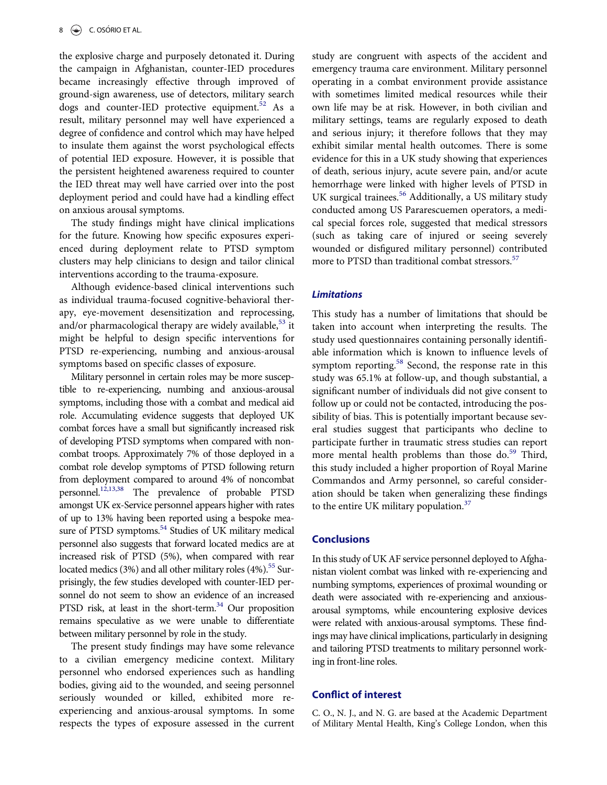the explosive charge and purposely detonated it. During the campaign in Afghanistan, counter-IED procedures became increasingly effective through improved of ground-sign awareness, use of detectors, military search dogs and counter-IED protective equipment.<sup>52</sup> As a result, military personnel may well have experienced a degree of confidence and control which may have helped to insulate them against the worst psychological effects of potential IED exposure. However, it is possible that the persistent heightened awareness required to counter the IED threat may well have carried over into the post deployment period and could have had a kindling effect on anxious arousal symptoms.

The study findings might have clinical implications for the future. Knowing how specific exposures experienced during deployment relate to PTSD symptom clusters may help clinicians to design and tailor clinical interventions according to the trauma-exposure.

Although evidence-based clinical interventions such as individual trauma-focused cognitive-behavioral therapy, eye-movement desensitization and reprocessing, and/or pharmacological therapy are widely available, $53$  it might be helpful to design specific interventions for PTSD re-experiencing, numbing and anxious-arousal symptoms based on specific classes of exposure.

Military personnel in certain roles may be more susceptible to re-experiencing, numbing and anxious-arousal symptoms, including those with a combat and medical aid role. Accumulating evidence suggests that deployed UK combat forces have a small but significantly increased risk of developing PTSD symptoms when compared with noncombat troops. Approximately 7% of those deployed in a combat role develop symptoms of PTSD following return from deployment compared to around 4% of noncombat personnel.<sup>12,13,38</sup> The prevalence of probable PTSD amongst UK ex-Service personnel appears higher with rates of up to 13% having been reported using a bespoke measure of PTSD symptoms.<sup>54</sup> Studies of UK military medical personnel also suggests that forward located medics are at increased risk of PTSD (5%), when compared with rear located medics  $(3%)$  and all other military roles  $(4%)$ .<sup>[55](#page-11-16)</sup> Surprisingly, the few studies developed with counter-IED personnel do not seem to show an evidence of an increased PTSD risk, at least in the short-term.<sup>34</sup> Our proposition remains speculative as we were unable to differentiate between military personnel by role in the study.

The present study findings may have some relevance to a civilian emergency medicine context. Military personnel who endorsed experiences such as handling bodies, giving aid to the wounded, and seeing personnel seriously wounded or killed, exhibited more reexperiencing and anxious-arousal symptoms. In some respects the types of exposure assessed in the current study are congruent with aspects of the accident and emergency trauma care environment. Military personnel operating in a combat environment provide assistance with sometimes limited medical resources while their own life may be at risk. However, in both civilian and military settings, teams are regularly exposed to death and serious injury; it therefore follows that they may exhibit similar mental health outcomes. There is some evidence for this in a UK study showing that experiences of death, serious injury, acute severe pain, and/or acute hemorrhage were linked with higher levels of PTSD in UK surgical trainees.<sup>[56](#page-11-17)</sup> Additionally, a US military study conducted among US Pararescuemen operators, a medical special forces role, suggested that medical stressors (such as taking care of injured or seeing severely wounded or disfigured military personnel) contributed more to PTSD than traditional combat stressors.<sup>[57](#page-11-18)</sup>

#### **Limitations**

This study has a number of limitations that should be taken into account when interpreting the results. The study used questionnaires containing personally identifiable information which is known to influence levels of symptom reporting.<sup>[58](#page-11-19)</sup> Second, the response rate in this study was 65.1% at follow-up, and though substantial, a significant number of individuals did not give consent to follow up or could not be contacted, introducing the possibility of bias. This is potentially important because several studies suggest that participants who decline to participate further in traumatic stress studies can report more mental health problems than those do.<sup>[59](#page-11-20)</sup> Third, this study included a higher proportion of Royal Marine Commandos and Army personnel, so careful consideration should be taken when generalizing these findings to the entire UK military population.<sup>[37](#page-11-3)</sup>

#### **Conclusions**

In this study of UK AF service personnel deployed to Afghanistan violent combat was linked with re-experiencing and numbing symptoms, experiences of proximal wounding or death were associated with re-experiencing and anxiousarousal symptoms, while encountering explosive devices were related with anxious-arousal symptoms. These findings may have clinical implications, particularly in designing and tailoring PTSD treatments to military personnel working in front-line roles.

# Conflict of interest

C. O., N. J., and N. G. are based at the Academic Department of Military Mental Health, King's College London, when this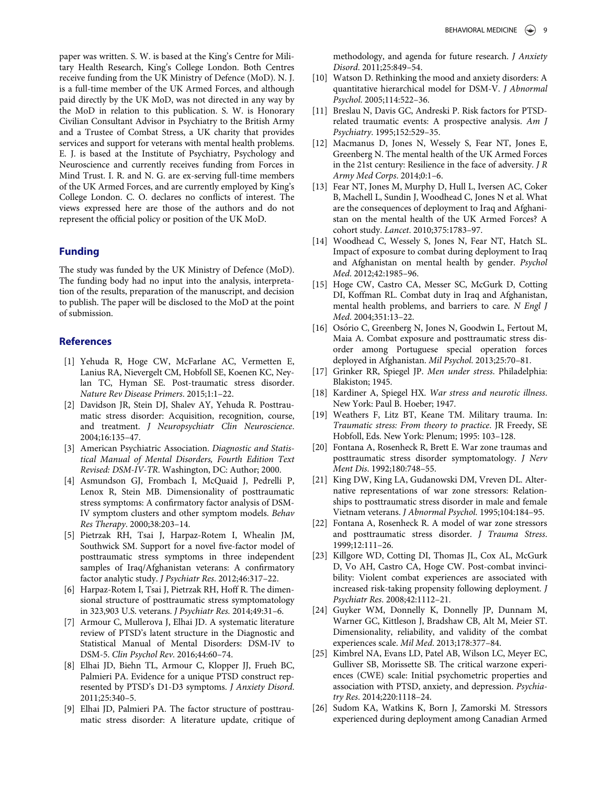<span id="page-10-5"></span>paper was written. S. W. is based at the King's Centre for Military Health Research, King's College London. Both Centres receive funding from the UK Ministry of Defence (MoD). N. J. is a full-time member of the UK Armed Forces, and although paid directly by the UK MoD, was not directed in any way by the MoD in relation to this publication. S. W. is Honorary Civilian Consultant Advisor in Psychiatry to the British Army and a Trustee of Combat Stress, a UK charity that provides services and support for veterans with mental health problems. E. J. is based at the Institute of Psychiatry, Psychology and Neuroscience and currently receives funding from Forces in Mind Trust. I. R. and N. G. are ex-serving full-time members of the UK Armed Forces, and are currently employed by King's College London. C. O. declares no conflicts of interest. The views expressed here are those of the authors and do not represent the official policy or position of the UK MoD.

# <span id="page-10-6"></span>Funding

<span id="page-10-12"></span>The study was funded by the UK Ministry of Defence (MoD). The funding body had no input into the analysis, interpretation of the results, preparation of the manuscript, and decision to publish. The paper will be disclosed to the MoD at the point of submission.

## <span id="page-10-0"></span>**References**

- <span id="page-10-7"></span>[1] Yehuda R, Hoge CW, McFarlane AC, Vermetten E, Lanius RA, Nievergelt CM, Hobfoll SE, Koenen KC, Neylan TC, Hyman SE. Post-traumatic stress disorder. Nature Rev Disease Primers. 2015;1:1–22.
- [2] Davidson JR, Stein DJ, Shalev AY, Yehuda R. Posttraumatic stress disorder: Acquisition, recognition, course, and treatment. J Neuropsychiatr Clin Neuroscience. 2004;16:135–47.
- <span id="page-10-1"></span>[3] American Psychiatric Association. Diagnostic and Statistical Manual of Mental Disorders, Fourth Edition Text Revised: DSM-IV-TR. Washington, DC: Author; 2000.
- <span id="page-10-8"></span><span id="page-10-2"></span>[4] Asmundson GJ, Frombach I, McQuaid J, Pedrelli P, Lenox R, Stein MB. Dimensionality of posttraumatic stress symptoms: A confirmatory factor analysis of DSM-IV symptom clusters and other symptom models. Behav Res Therapy. 2000;38:203–14.
- <span id="page-10-10"></span><span id="page-10-9"></span><span id="page-10-3"></span>[5] Pietrzak RH, Tsai J, Harpaz-Rotem I, Whealin JM, Southwick SM. Support for a novel five-factor model of posttraumatic stress symptoms in three independent samples of Iraq/Afghanistan veterans: A confirmatory factor analytic study. J Psychiatr Res. 2012;46:317–22.
- <span id="page-10-4"></span>[6] Harpaz-Rotem I, Tsai J, Pietrzak RH, Hoff R. The dimensional structure of posttraumatic stress symptomatology in 323,903 U.S. veterans. J Psychiatr Res. 2014;49:31–6.
- <span id="page-10-13"></span>[7] Armour C, Mullerova J, Elhai JD. A systematic literature review of PTSD's latent structure in the Diagnostic and Statistical Manual of Mental Disorders: DSM-IV to DSM-5. Clin Psychol Rev. 2016;44:60–74.
- [8] Elhai JD, Biehn TL, Armour C, Klopper JJ, Frueh BC, Palmieri PA. Evidence for a unique PTSD construct represented by PTSD's D1-D3 symptoms. J Anxiety Disord. 2011;25:340–5.
- <span id="page-10-11"></span>[9] Elhai JD, Palmieri PA. The factor structure of posttraumatic stress disorder: A literature update, critique of

methodology, and agenda for future research. J Anxiety Disord. 2011;25:849–54.

- [10] Watson D. Rethinking the mood and anxiety disorders: A quantitative hierarchical model for DSM-V. J Abnormal Psychol. 2005;114:522–36.
- [11] Breslau N, Davis GC, Andreski P. Risk factors for PTSDrelated traumatic events: A prospective analysis. Am J Psychiatry. 1995;152:529–35.
- [12] Macmanus D, Jones N, Wessely S, Fear NT, Jones E, Greenberg N. The mental health of the UK Armed Forces in the 21st century: Resilience in the face of adversity. J R Army Med Corps. 2014;0:1–6.
- [13] Fear NT, Jones M, Murphy D, Hull L, Iversen AC, Coker B, Machell L, Sundin J, Woodhead C, Jones N et al. What are the consequences of deployment to Iraq and Afghanistan on the mental health of the UK Armed Forces? A cohort study. Lancet. 2010;375:1783–97.
- [14] Woodhead C, Wessely S, Jones N, Fear NT, Hatch SL. Impact of exposure to combat during deployment to Iraq and Afghanistan on mental health by gender. Psychol Med. 2012;42:1985–96.
- [15] Hoge CW, Castro CA, Messer SC, McGurk D, Cotting DI, Koffman RL. Combat duty in Iraq and Afghanistan, mental health problems, and barriers to care. N Engl J Med. 2004;351:13–22.
- [16] Osório C, Greenberg N, Jones N, Goodwin L, Fertout M, Maia A. Combat exposure and posttraumatic stress disorder among Portuguese special operation forces deployed in Afghanistan. Mil Psychol. 2013;25:70–81.
- [17] Grinker RR, Spiegel JP. Men under stress. Philadelphia: Blakiston; 1945.
- [18] Kardiner A, Spiegel HX. War stress and neurotic illness. New York: Paul B. Hoeber; 1947.
- [19] Weathers F, Litz BT, Keane TM. Military trauma. In: Traumatic stress: From theory to practice. JR Freedy, SE Hobfoll, Eds. New York: Plenum; 1995: 103–128.
- [20] Fontana A, Rosenheck R, Brett E. War zone traumas and posttraumatic stress disorder symptomatology. J Nerv Ment Dis. 1992;180:748–55.
- [21] King DW, King LA, Gudanowski DM, Vreven DL. Alternative representations of war zone stressors: Relationships to posttraumatic stress disorder in male and female Vietnam veterans. J Abnormal Psychol. 1995;104:184–95.
- [22] Fontana A, Rosenheck R. A model of war zone stressors and posttraumatic stress disorder. J Trauma Stress. 1999;12:111–26.
- [23] Killgore WD, Cotting DI, Thomas JL, Cox AL, McGurk D, Vo AH, Castro CA, Hoge CW. Post-combat invincibility: Violent combat experiences are associated with increased risk-taking propensity following deployment. J Psychiatr Res. 2008;42:1112–21.
- [24] Guyker WM, Donnelly K, Donnelly JP, Dunnam M, Warner GC, Kittleson J, Bradshaw CB, Alt M, Meier ST. Dimensionality, reliability, and validity of the combat experiences scale. Mil Med. 2013;178:377–84.
- [25] Kimbrel NA, Evans LD, Patel AB, Wilson LC, Meyer EC, Gulliver SB, Morissette SB. The critical warzone experiences (CWE) scale: Initial psychometric properties and association with PTSD, anxiety, and depression. Psychiatry Res. 2014;220:1118–24.
- [26] Sudom KA, Watkins K, Born J, Zamorski M. Stressors experienced during deployment among Canadian Armed